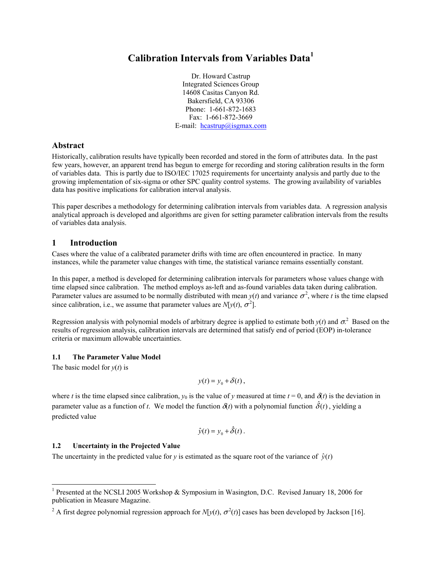# **Calibration Intervals from Variables Data<sup>1</sup>**

Dr. Howard Castrup Integrated Sciences Group 14608 Casitas Canyon Rd. Bakersfield, CA 93306 Phone: 1-661-872-1683 Fax: 1-661-872-3669 E-mail:  $heastrup@isgnax.com$ 

# **Abstract**

Historically, calibration results have typically been recorded and stored in the form of attributes data. In the past few years, however, an apparent trend has begun to emerge for recording and storing calibration results in the form of variables data. This is partly due to ISO/IEC 17025 requirements for uncertainty analysis and partly due to the growing implementation of six-sigma or other SPC quality control systems. The growing availability of variables data has positive implications for calibration interval analysis.

This paper describes a methodology for determining calibration intervals from variables data. A regression analysis analytical approach is developed and algorithms are given for setting parameter calibration intervals from the results of variables data analysis.

# **1 Introduction**

Cases where the value of a calibrated parameter drifts with time are often encountered in practice. In many instances, while the parameter value changes with time, the statistical variance remains essentially constant.

In this paper, a method is developed for determining calibration intervals for parameters whose values change with time elapsed since calibration. The method employs as-left and as-found variables data taken during calibration. Parameter values are assumed to be normally distributed with mean  $y(t)$  and variance  $\sigma^2$ , where *t* is the time elapsed since calibration, i.e., we assume that parameter values are  $N[y(t), \sigma^2]$ .

Regression analysis with polynomial models of arbitrary degree is applied to estimate both  $y(t)$  and  $\sigma^2$ . Based on the results of regression analysis, calibration intervals are determined that satisfy end of period (EOP) in-tolerance criteria or maximum allowable uncertainties.

# **1.1 The Parameter Value Model**

The basic model for  $y(t)$  is

1

$$
y(t) = y_0 + \delta(t),
$$

where *t* is the time elapsed since calibration,  $y_0$  is the value of *y* measured at time  $t = 0$ , and  $\delta(t)$  is the deviation in parameter value as a function of *t*. We model the function  $\delta(t)$  with a polynomial function  $\delta(t)$ , yielding a predicted value

$$
\hat{y}(t) = y_0 + \hat{\delta}(t) .
$$

# **1.2 Uncertainty in the Projected Value**

The uncertainty in the predicted value for *y* is estimated as the square root of the variance of  $\hat{v}(t)$ 

<sup>&</sup>lt;sup>1</sup> Presented at the NCSLI 2005 Workshop & Symposium in Wasington, D.C. Revised January 18, 2006 for publication in Measure Magazine.

<sup>&</sup>lt;sup>2</sup> A first degree polynomial regression approach for *N*[*y*(*t*),  $\sigma^2(t)$ ] cases has been developed by Jackson [16].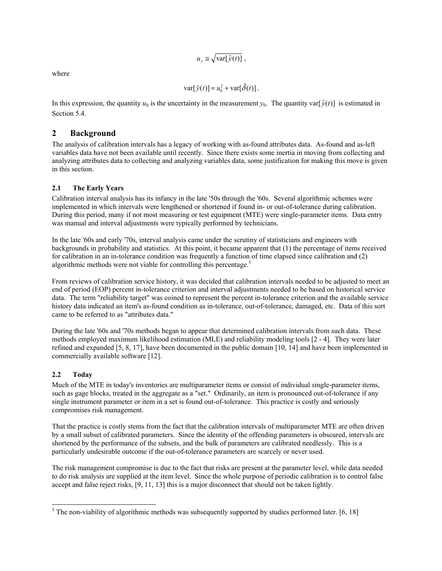$$
u_y \equiv \sqrt{\text{var}[\hat{y}(t)]},
$$

where

$$
\text{var}[\hat{y}(t)] = u_0^2 + \text{var}[\hat{\delta}(t)].
$$

In this expression, the quantity  $u_0$  is the uncertainty in the measurement  $y_0$ . The quantity var[ $\hat{y}(t)$ ] is estimated in Section 5.4.

# **2 Background**

The analysis of calibration intervals has a legacy of working with as-found attributes data. As-found and as-left variables data have not been available until recently. Since there exists some inertia in moving from collecting and analyzing attributes data to collecting and analyzing variables data, some justification for making this move is given in this section.

# **2.1 The Early Years**

Calibration interval analysis has its infancy in the late '50s through the '60s. Several algorithmic schemes were implemented in which intervals were lengthened or shortened if found in- or out-of-tolerance during calibration. During this period, many if not most measuring or test equipment (MTE) were single-parameter items. Data entry was manual and interval adjustments were typically performed by technicians.

In the late '60s and early '70s, interval analysis came under the scrutiny of statisticians and engineers with backgrounds in probability and statistics. At this point, it became apparent that (1) the percentage of items received for calibration in an in-tolerance condition was frequently a function of time elapsed since calibration and (2) algorithmic methods were not viable for controlling this percentage.<sup>3</sup>

From reviews of calibration service history, it was decided that calibration intervals needed to be adjusted to meet an end of period (EOP) percent in-tolerance criterion and interval adjustments needed to be based on historical service data. The term "reliability target" was coined to represent the percent in-tolerance criterion and the available service history data indicated an item's as-found condition as in-tolerance, out-of-tolerance, damaged, etc. Data of this sort came to be referred to as "attributes data."

During the late '60s and '70s methods began to appear that determined calibration intervals from such data. These methods employed maximum likelihood estimation (MLE) and reliability modeling tools [2 - 4]. They were later refined and expanded [5, 8, 17], have been documented in the public domain [10, 14] and have been implemented in commercially available software [12].

# **2.2 Today**

-

Much of the MTE in today's inventories are multiparameter items or consist of individual single-parameter items, such as gage blocks, treated in the aggregate as a "set." Ordinarily, an item is pronounced out-of-tolerance if any single instrument parameter or item in a set is found out-of-tolerance. This practice is costly and seriously compromises risk management.

That the practice is costly stems from the fact that the calibration intervals of multiparameter MTE are often driven by a small subset of calibrated parameters. Since the identity of the offending parameters is obscured, intervals are shortened by the performance of the subsets, and the bulk of parameters are calibrated needlessly. This is a particularly undesirable outcome if the out-of-tolerance parameters are scarcely or never used.

The risk management compromise is due to the fact that risks are present at the parameter level, while data needed to do risk analysis are supplied at the item level. Since the whole purpose of periodic calibration is to control false accept and false reject risks, [9, 11, 13] this is a major disconnect that should not be taken lightly.

 $3$  The non-viability of algorithmic methods was subsequently supported by studies performed later. [6, 18]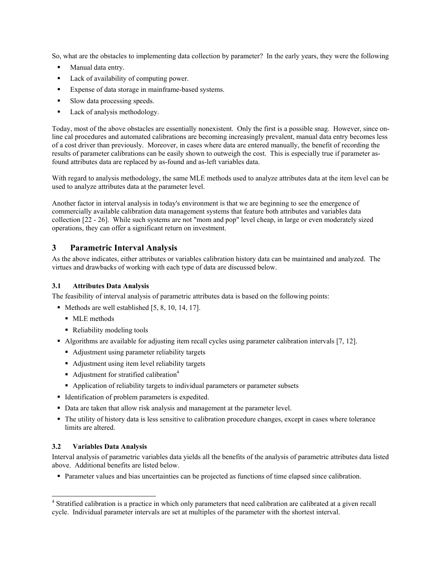So, what are the obstacles to implementing data collection by parameter? In the early years, they were the following

- **Manual data entry.**
- Lack of availability of computing power.
- Expense of data storage in mainframe-based systems.
- Slow data processing speeds.
- Lack of analysis methodology.

Today, most of the above obstacles are essentially nonexistent. Only the first is a possible snag. However, since online cal procedures and automated calibrations are becoming increasingly prevalent, manual data entry becomes less of a cost driver than previously. Moreover, in cases where data are entered manually, the benefit of recording the results of parameter calibrations can be easily shown to outweigh the cost. This is especially true if parameter asfound attributes data are replaced by as-found and as-left variables data.

With regard to analysis methodology, the same MLE methods used to analyze attributes data at the item level can be used to analyze attributes data at the parameter level.

Another factor in interval analysis in today's environment is that we are beginning to see the emergence of commercially available calibration data management systems that feature both attributes and variables data collection [22 - 26]. While such systems are not "mom and pop" level cheap, in large or even moderately sized operations, they can offer a significant return on investment.

# **3 Parametric Interval Analysis**

As the above indicates, either attributes or variables calibration history data can be maintained and analyzed. The virtues and drawbacks of working with each type of data are discussed below.

# **3.1 Attributes Data Analysis**

The feasibility of interval analysis of parametric attributes data is based on the following points:

- $\blacksquare$  Methods are well established [5, 8, 10, 14, 17].
	- **MLE** methods
	- Reliability modeling tools
- Algorithms are available for adjusting item recall cycles using parameter calibration intervals [7, 12].
	- Adjustment using parameter reliability targets
	- Adjustment using item level reliability targets
	- Adjustment for stratified calibration<sup>4</sup>
	- Application of reliability targets to individual parameters or parameter subsets
- Identification of problem parameters is expedited.
- Data are taken that allow risk analysis and management at the parameter level.
- The utility of history data is less sensitive to calibration procedure changes, except in cases where tolerance limits are altered.

# **3.2 Variables Data Analysis**

 $\overline{a}$ 

Interval analysis of parametric variables data yields all the benefits of the analysis of parametric attributes data listed above. Additional benefits are listed below.

Parameter values and bias uncertainties can be projected as functions of time elapsed since calibration.

<sup>&</sup>lt;sup>4</sup> Stratified calibration is a practice in which only parameters that need calibration are calibrated at a given recall cycle. Individual parameter intervals are set at multiples of the parameter with the shortest interval.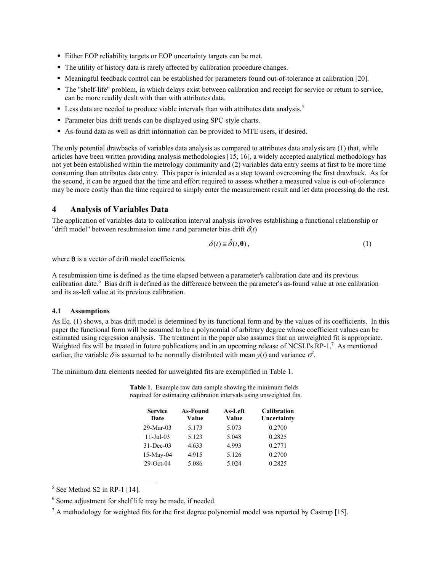- Either EOP reliability targets or EOP uncertainty targets can be met.
- The utility of history data is rarely affected by calibration procedure changes.
- Meaningful feedback control can be established for parameters found out-of-tolerance at calibration [20].
- The "shelf-life" problem, in which delays exist between calibration and receipt for service or return to service, can be more readily dealt with than with attributes data.
- $\blacksquare$  Less data are needed to produce viable intervals than with attributes data analysis.<sup>5</sup>
- Parameter bias drift trends can be displayed using SPC-style charts.
- As-found data as well as drift information can be provided to MTE users, if desired.

The only potential drawbacks of variables data analysis as compared to attributes data analysis are (1) that, while articles have been written providing analysis methodologies [15, 16], a widely accepted analytical methodology has not yet been established within the metrology community and (2) variables data entry seems at first to be more time consuming than attributes data entry. This paper is intended as a step toward overcoming the first drawback. As for the second, it can be argued that the time and effort required to assess whether a measured value is out-of-tolerance may be more costly than the time required to simply enter the measurement result and let data processing do the rest.

# **4 Analysis of Variables Data**

The application of variables data to calibration interval analysis involves establishing a functional relationship or "drift model" between resubmission time *t* and parameter bias drift  $\delta(t)$ 

$$
\delta(t) \equiv \hat{\delta}(t, \mathbf{\theta}),\tag{1}
$$

where  $\theta$  is a vector of drift model coefficients.

A resubmission time is defined as the time elapsed between a parameter's calibration date and its previous calibration date.<sup>6</sup> Bias drift is defined as the difference between the parameter's as-found value at one calibration and its as-left value at its previous calibration.

### **4.1 Assumptions**

As Eq. (1) shows, a bias drift model is determined by its functional form and by the values of its coefficients. In this paper the functional form will be assumed to be a polynomial of arbitrary degree whose coefficient values can be estimated using regression analysis. The treatment in the paper also assumes that an unweighted fit is appropriate. Weighted fits will be treated in future publications and in an upcoming release of NCSLI's RP-1.<sup>7</sup> As mentioned earlier, the variable  $\delta$  is assumed to be normally distributed with mean  $y(t)$  and variance  $\sigma^2$ .

The minimum data elements needed for unweighted fits are exemplified in Table 1.

**Table 1**. Example raw data sample showing the minimum fields required for estimating calibration intervals using unweighted fits.

| <b>Service</b><br>Date | As-Found<br>Value | As-Left<br>Value | <b>Calibration</b><br>Uncertainty |  |
|------------------------|-------------------|------------------|-----------------------------------|--|
| $29-Mar-03$            | 5.173             | 5.073            | 0.2700                            |  |
| $11 - \text{Jul} - 03$ | 5.123             | 5.048            | 0.2825                            |  |
| $31 - Dec-03$          | 4.633             | 4 9 9 3          | 0.2771                            |  |
| 15-May-04              | 4.915             | 5.126            | 0.2700                            |  |
| $29$ -Oct-04           | 5.086             | 5.024            | 0.2825                            |  |

 $<sup>5</sup>$  See Method S2 in RP-1 [14].</sup>

<sup>&</sup>lt;sup>6</sup> Some adjustment for shelf life may be made, if needed.

 $<sup>7</sup>$  A methodology for weighted fits for the first degree polynomial model was reported by Castrup [15].</sup>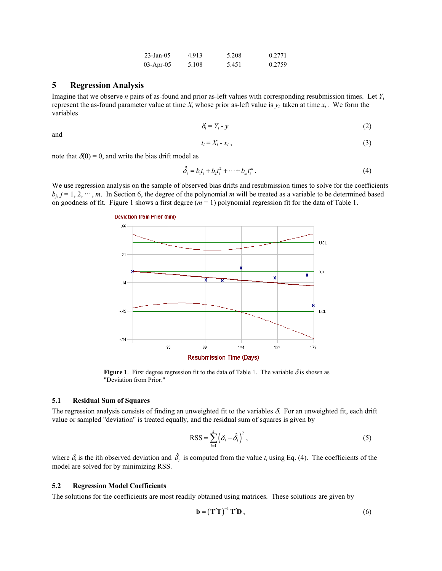| $23 - Jan - 05$ | 4.913 | 5.208 | 0.2771 |
|-----------------|-------|-------|--------|
| $03$ -Apr-05    | 5.108 | 5.451 | 0.2759 |

### **5 Regression Analysis**

Imagine that we observe *n* pairs of as-found and prior as-left values with corresponding resubmission times. Let *Yi* represent the as-found parameter value at time  $X_i$  whose prior as-left value is  $y_i$  taken at time  $x_i$ . We form the variables

$$
\delta_i = Y_i - y \tag{2}
$$

and

$$
t_i = X_i - x_i \tag{3}
$$

note that  $\delta(0) = 0$ , and write the bias drift model as

$$
\hat{\delta}_i = b_1 t_i + b_2 t_i^2 + \dots + b_m t_i^m \,. \tag{4}
$$

We use regression analysis on the sample of observed bias drifts and resubmission times to solve for the coefficients  $b_i$ ,  $j = 1, 2, \dots, m$ . In Section 6, the degree of the polynomial *m* will be treated as a variable to be determined based on goodness of fit. Figure 1 shows a first degree (*m* = 1) polynomial regression fit for the data of Table 1.



**Figure 1**. First degree regression fit to the data of Table 1. The variable  $\delta$  is shown as "Deviation from Prior."

#### **5.1 Residual Sum of Squares**

The regression analysis consists of finding an unweighted fit to the variables  $\delta$ . For an unweighted fit, each drift value or sampled "deviation" is treated equally, and the residual sum of squares is given by

$$
RSS = \sum_{i=1}^{k} \left( \delta_i - \hat{\delta}_i \right)^2, \tag{5}
$$

where  $\delta_i$  is the ith observed deviation and  $\hat{\delta}_i$  is computed from the value  $t_i$  using Eq. (4). The coefficients of the model are solved for by minimizing RSS.

#### **5.2 Regression Model Coefficients**

The solutions for the coefficients are most readily obtained using matrices. These solutions are given by

$$
\mathbf{b} = (\mathbf{T}'\mathbf{T})^{-1} \mathbf{T}'\mathbf{D},\tag{6}
$$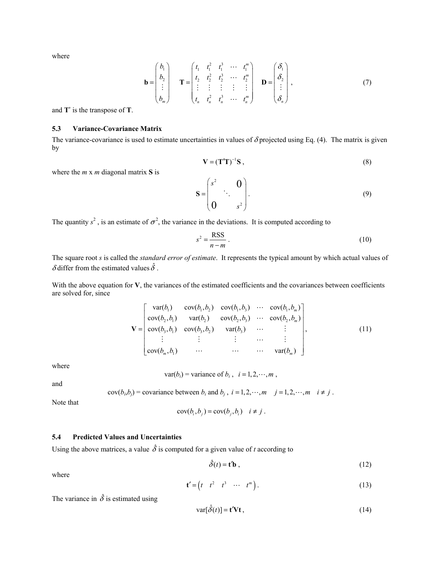where

$$
\mathbf{b} = \begin{pmatrix} b_1 \\ b_2 \\ \vdots \\ b_m \end{pmatrix} \qquad \mathbf{T} = \begin{pmatrix} t_1 & t_1^2 & t_1^3 & \cdots & t_1^m \\ t_2 & t_2^2 & t_2^3 & \cdots & t_2^m \\ \vdots & \vdots & \vdots & \vdots & \vdots \\ t_n & t_n^2 & t_n^3 & \cdots & t_n^m \end{pmatrix} \qquad \mathbf{D} = \begin{pmatrix} \delta_1 \\ \delta_2 \\ \vdots \\ \delta_n \end{pmatrix}, \tag{7}
$$

and **T**' is the transpose of **T**.

#### **5.3 Variance-Covariance Matrix**

The variance-covariance is used to estimate uncertainties in values of  $\delta$  projected using Eq. (4). The matrix is given by

$$
\mathbf{V} = (\mathbf{T}^{\prime} \mathbf{T})^{-1} \mathbf{S} \tag{8}
$$

where the *m* x *m* diagonal matrix **S** is

$$
\mathbf{S} = \begin{pmatrix} s^2 & 0 \\ 0 & s^2 \end{pmatrix} . \tag{9}
$$

The quantity  $s^2$ , is an estimate of  $\sigma^2$ , the variance in the deviations. It is computed according to

$$
s^2 = \frac{\text{RSS}}{n - m} \tag{10}
$$

The square root *s* is called the *standard error of estimate*. It represents the typical amount by which actual values of δ differ from the estimated values  $\hat{\delta}$ .

With the above equation for **V**, the variances of the estimated coefficients and the covariances between coefficients are solved for, since

$$
\mathbf{V} = \begin{bmatrix} \text{var}(b_1) & \text{cov}(b_1, b_2) & \text{cov}(b_1, b_3) & \cdots & \text{cov}(b_1, b_m) \\ \text{cov}(b_2, b_1) & \text{var}(b_2) & \text{cov}(b_2, b_3) & \cdots & \text{cov}(b_2, b_m) \\ \text{cov}(b_3, b_1) & \text{cov}(b_3, b_2) & \text{var}(b_3) & \cdots & \vdots \\ \vdots & \vdots & \vdots & \cdots & \vdots \\ \text{cov}(b_m, b_1) & \cdots & \cdots & \cdots & \text{var}(b_m) \end{bmatrix}, \tag{11}
$$

where

 $var(b_i)$  = variance of  $b_i$ ,  $i = 1, 2, \dots, m$ ,

and

$$
cov(bi, bj) = covariance between bi and bj, i = 1, 2, \cdots, m \quad j = 1, 2, \cdots, m \quad i \neq j.
$$

Note that

$$
cov(b_i, b_j) = cov(b_j, b_i) \quad i \neq j.
$$

# **5.4 Predicted Values and Uncertainties**

 $\overline{a}$ 

Using the above matrices, a value  $\hat{\delta}$  is computed for a given value of *t* according to

$$
\hat{\delta}(t) = \mathbf{t}'\mathbf{b} \tag{12}
$$

where

$$
\mathbf{t}' = \begin{pmatrix} t & t^2 & t^3 & \cdots & t^m \end{pmatrix} . \tag{13}
$$

The variance in  $\hat{\delta}$  is estimated using

$$
\text{var}[\hat{\delta}(t)] = \mathbf{t}' \mathbf{V} \mathbf{t},\tag{14}
$$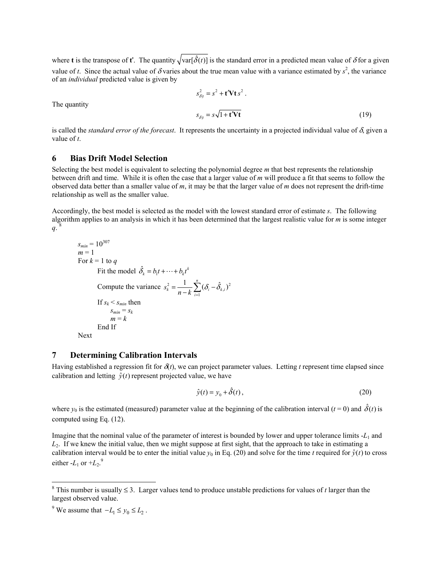where **t** is the transpose of **t**'. The quantity  $\sqrt{\text{var}[\hat{\delta}(t)]}$  is the standard error in a predicted mean value of  $\delta$  for a given value of *t*. Since the actual value of  $\delta$  varies about the true mean value with a variance estimated by  $s^2$ , the variance of an *individual* predicted value is given by

$$
s_{\delta|t}^2 = s^2 + \mathbf{t}' \mathbf{V} \mathbf{t} s^2.
$$
  

$$
s_{\delta|t} = s \sqrt{1 + \mathbf{t}' \mathbf{V} \mathbf{t}}
$$
 (19)

The quantity

is called the *standard error of the forecast*. It represents the uncertainty in a projected individual value of δ, given a value of *t*.

# **6 Bias Drift Model Selection**

Selecting the best model is equivalent to selecting the polynomial degree *m* that best represents the relationship between drift and time. While it is often the case that a larger value of *m* will produce a fit that seems to follow the observed data better than a smaller value of *m*, it may be that the larger value of *m* does not represent the drift-time relationship as well as the smaller value.

Accordingly, the best model is selected as the model with the lowest standard error of estimate *s*. The following algorithm applies to an analysis in which it has been determined that the largest realistic value for *m* is some integer  $q_i$ <sup>8</sup>

$$
s_{min} = 10^{307}
$$
  
\n $m = 1$   
\nFor  $k = 1$  to q  
\nFit the model  $\hat{\delta}_k = b_1 t + \dots + b_k t^k$   
\nCompute the variance  $s_k^2 = \frac{1}{n-k} \sum_{i=1}^n (\delta_i - \hat{\delta}_{k,i})^2$   
\nIf  $s_k < s_{min}$  then  
\n
$$
s_{min} = s_k
$$
  
\n $m = k$   
\nEnd If  
\nNext

## **7 Determining Calibration Intervals**

Having established a regression fit for  $\delta(t)$ , we can project parameter values. Letting t represent time elapsed since calibration and letting  $\hat{y}(t)$  represent projected value, we have

$$
\hat{y}(t) = y_0 + \hat{\delta}(t),\tag{20}
$$

where  $y_0$  is the estimated (measured) parameter value at the beginning of the calibration interval ( $t = 0$ ) and  $\hat{\delta}(t)$  is computed using Eq. (12).

Imagine that the nominal value of the parameter of interest is bounded by lower and upper tolerance limits -*L*<sub>1</sub> and *L*2. If we knew the initial value, then we might suppose at first sight, that the approach to take in estimating a calibration interval would be to enter the initial value  $y_0$  in Eq. (20) and solve for the time *t* required for  $\hat{y}(t)$  to cross either  $-L_1$  or  $+L_2$ .<sup>9</sup>

 $\overline{a}$ 

<sup>&</sup>lt;sup>8</sup> This number is usually  $\leq$  3. Larger values tend to produce unstable predictions for values of *t* larger than the largest observed value.

<sup>&</sup>lt;sup>9</sup> We assume that  $-L_1 \le y_0 \le L_2$ .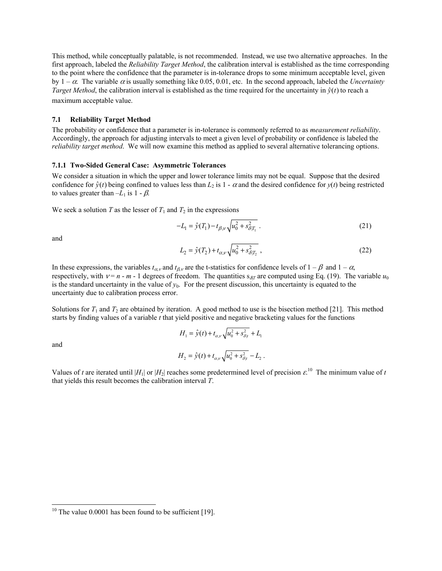This method, while conceptually palatable, is not recommended. Instead, we use two alternative approaches. In the first approach, labeled the *Reliability Target Method*, the calibration interval is established as the time corresponding to the point where the confidence that the parameter is in-tolerance drops to some minimum acceptable level, given by  $1 - \alpha$ . The variable  $\alpha$  is usually something like 0.05, 0.01, etc. In the second approach, labeled the *Uncertainty Target Method*, the calibration interval is established as the time required for the uncertainty in  $\hat{y}(t)$  to reach a maximum acceptable value.

#### **7.1 Reliability Target Method**

The probability or confidence that a parameter is in-tolerance is commonly referred to as *measurement reliability*. Accordingly, the approach for adjusting intervals to meet a given level of probability or confidence is labeled the *reliability target method*. We will now examine this method as applied to several alternative tolerancing options.

#### **7.1.1 Two-Sided General Case: Asymmetric Tolerances**

We consider a situation in which the upper and lower tolerance limits may not be equal. Suppose that the desired confidence for  $\hat{y}(t)$  being confined to values less than  $L_2$  is  $1 - \alpha$  and the desired confidence for  $y(t)$  being restricted to values greater than  $-L_1$  is  $1 - \beta$ .

We seek a solution *T* as the lesser of  $T_1$  and  $T_2$  in the expressions

$$
-L_1 = \hat{y}(T_1) - t_{\beta,\nu} \sqrt{u_0^2 + s_{\delta|T_1}^2} \,. \tag{21}
$$

and

$$
L_2 = \hat{y}(T_2) + t_{\alpha,\nu} \sqrt{u_0^2 + s_{\delta|T_2}^2},\tag{22}
$$

In these expressions, the variables  $t_{\alpha}$  and  $t_{\beta}$  are the t-statistics for confidence levels of  $1 - \beta$  and  $1 - \alpha$ , respectively, with  $v = n - m - 1$  degrees of freedom. The quantities  $s_{\delta T}$  are computed using Eq. (19). The variable  $u_0$ is the standard uncertainty in the value of  $y_0$ . For the present discussion, this uncertainty is equated to the uncertainty due to calibration process error.

Solutions for  $T_1$  and  $T_2$  are obtained by iteration. A good method to use is the bisection method [21]. This method starts by finding values of a variable *t* that yield positive and negative bracketing values for the functions

$$
H_1 = \hat{y}(t) + t_{\alpha,v} \sqrt{u_0^2 + s_{\delta|t}^2} + L_1
$$
  

$$
H_2 = \hat{y}(t) + t_{\alpha,v} \sqrt{u_0^2 + s_{\delta|t}^2} - L_2.
$$

and

 $\overline{a}$ 

$$
H_2 = y(t) + t_{\alpha, \nu} \sqrt{u_0 + s_{\delta | t}} \quad L_2.
$$

Values of *t* are iterated until  $|H_1|$  or  $|H_2|$  reaches some predetermined level of precision  $\varepsilon^{10}$  The minimum value of *t* that yields this result becomes the calibration interval *T*.

<sup>&</sup>lt;sup>10</sup> The value 0.0001 has been found to be sufficient [19].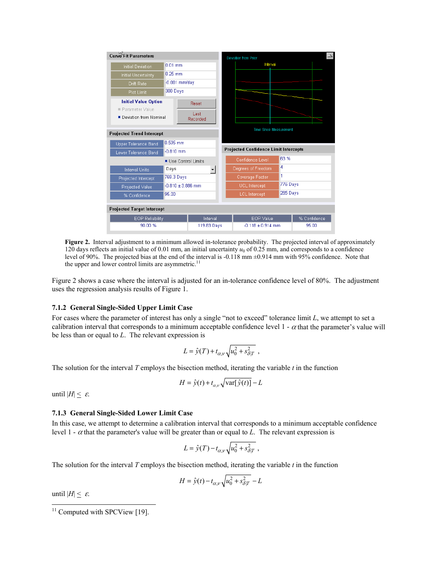| Curve Fit Parameters              |                       | Deviation from Prior                         |                               |          |              |
|-----------------------------------|-----------------------|----------------------------------------------|-------------------------------|----------|--------------|
| <b>Initial Deviation</b>          | $0.01$ mm             |                                              | Interval                      |          |              |
| Initial Uncertainty               | $0.25$ mm             |                                              |                               |          |              |
| Drift Rate                        | $-0.001$ mm/day       |                                              |                               |          |              |
| Plot Limit                        | 300 Days              |                                              |                               |          |              |
| <b>Initial Value Option</b>       | Reset                 |                                              |                               |          |              |
| Parameter Value                   | Last                  |                                              |                               |          |              |
| Deviation from Nominal            | Recorded              |                                              |                               |          |              |
|                                   |                       |                                              | <b>Time Since Measurement</b> |          |              |
| <b>Projected Trend Intercept</b>  |                       |                                              |                               |          |              |
| Upper Tolerance Band              | 0.595 mm              |                                              |                               |          |              |
| Lower Tolerance Band              | $-0.810$ mm           | <b>Projected Confidence Limit Intercepts</b> |                               |          |              |
|                                   |                       |                                              |                               |          |              |
|                                   | Use Control Limits    |                                              | Confidence Level              | 63 %     |              |
| <b>Interval Units</b>             | Days                  |                                              | Degrees of Freedom            | 4        |              |
| Projected Intercept               | 769.3 Days            |                                              | Coverage Factor               | 1        |              |
| Projected Value                   | $-0.810 \pm 3.886$ mm |                                              | <b>UCL</b> Intercept          | 776 Days |              |
| % Confidence                      | 95.00                 |                                              | <b>LCL</b> Intercept          | 265 Days |              |
| <b>Projected Target Intercept</b> |                       |                                              |                               |          |              |
| <b>EOP Reliability</b><br>90.00 % | Interval              |                                              | EOP Value                     |          | % Confidence |

**Figure 2.** Interval adjustment to a minimum allowed in-tolerance probability. The projected interval of approximately 120 days reflects an initial value of 0.01 mm, an initial uncertainty  $u_0$  of 0.25 mm, and corresponds to a confidence level of 90%. The projected bias at the end of the interval is -0.118 mm ±0.914 mm with 95% confidence. Note that the upper and lower control limits are asymmetric.<sup>11</sup>

Figure 2 shows a case where the interval is adjusted for an in-tolerance confidence level of 80%. The adjustment uses the regression analysis results of Figure 1.

#### **7.1.2 General Single-Sided Upper Limit Case**

For cases where the parameter of interest has only a single "not to exceed" tolerance limit *L*, we attempt to set a calibration interval that corresponds to a minimum acceptable confidence level  $1 - \alpha$  that the parameter's value will be less than or equal to *L*. The relevant expression is

$$
L = \hat{y}(T) + t_{\alpha,\nu} \sqrt{u_0^2 + s_{\delta|T}^2} ,
$$

The solution for the interval *T* employs the bisection method, iterating the variable *t* in the function

$$
H = \hat{y}(t) + t_{\alpha,\nu} \sqrt{\text{var}[\hat{y}(t)]} - L
$$

until  $|H| \leq \varepsilon$ .

#### **7.1.3 General Single-Sided Lower Limit Case**

In this case, we attempt to determine a calibration interval that corresponds to a minimum acceptable confidence level 1 - α that the parameter's value will be greater than or equal to *L*. The relevant expression is

$$
L = \hat{y}(T) - t_{\alpha,v} \sqrt{u_0^2 + s_{\delta|T}^2},
$$

The solution for the interval *T* employs the bisection method, iterating the variable *t* in the function

$$
H = \hat{y}(t) - t_{\alpha,\nu} \sqrt{u_0^2 + s_{\delta|T}^2} - L
$$

until  $|H| \leq \varepsilon$ .

-

 $11$  Computed with SPCView [19].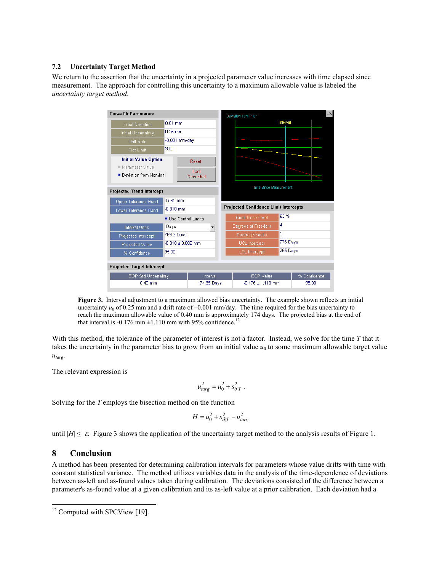#### **7.2 Uncertainty Target Method**

We return to the assertion that the uncertainty in a projected parameter value increases with time elapsed since measurement. The approach for controlling this uncertainty to a maximum allowable value is labeled the *uncertainty target method*.



**Figure 3.** Interval adjustment to a maximum allowed bias uncertainty. The example shown reflects an initial uncertainty  $u_0$  of 0.25 mm and a drift rate of  $-0.001$  mm/day. The time required for the bias uncertainty to reach the maximum allowable value of 0.40 mm is approximately 174 days. The projected bias at the end of that interval is -0.176 mm  $\pm$ 1.110 mm with 95% confidence.<sup>12</sup>

With this method, the tolerance of the parameter of interest is not a factor. Instead, we solve for the time *T* that it takes the uncertainty in the parameter bias to grow from an initial value  $u_0$  to some maximum allowable target value *utarg*.

The relevant expression is

$$
u_{targ}^2 = u_0^2 + s_{\delta|T}^2.
$$

Solving for the *T* employs the bisection method on the function

$$
H = u_0^2 + s_{\delta|T}^2 - u_{targ}^2
$$

until  $|H| \leq \varepsilon$ . Figure 3 shows the application of the uncertainty target method to the analysis results of Figure 1.

## **8 Conclusion**

 $\overline{a}$ 

A method has been presented for determining calibration intervals for parameters whose value drifts with time with constant statistical variance. The method utilizes variables data in the analysis of the time-dependence of deviations between as-left and as-found values taken during calibration. The deviations consisted of the difference between a parameter's as-found value at a given calibration and its as-left value at a prior calibration. Each deviation had a

<sup>&</sup>lt;sup>12</sup> Computed with SPCView [19].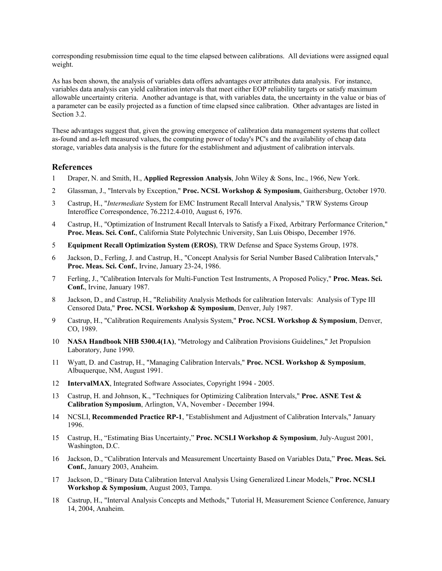corresponding resubmission time equal to the time elapsed between calibrations. All deviations were assigned equal weight.

As has been shown, the analysis of variables data offers advantages over attributes data analysis. For instance, variables data analysis can yield calibration intervals that meet either EOP reliability targets or satisfy maximum allowable uncertainty criteria. Another advantage is that, with variables data, the uncertainty in the value or bias of a parameter can be easily projected as a function of time elapsed since calibration. Other advantages are listed in Section 3.2.

These advantages suggest that, given the growing emergence of calibration data management systems that collect as-found and as-left measured values, the computing power of today's PC's and the availability of cheap data storage, variables data analysis is the future for the establishment and adjustment of calibration intervals.

#### **References**

- 1 Draper, N. and Smith, H., **Applied Regression Analysis**, John Wiley & Sons, Inc., 1966, New York.
- 2 Glassman, J., "Intervals by Exception," **Proc. NCSL Workshop & Symposium**, Gaithersburg, October 1970.
- 3 Castrup, H., "*Intermediate* System for EMC Instrument Recall Interval Analysis," TRW Systems Group Interoffice Correspondence, 76.2212.4-010, August 6, 1976.
- 4 Castrup, H., "Optimization of Instrument Recall Intervals to Satisfy a Fixed, Arbitrary Performance Criterion," **Proc. Meas. Sci. Conf.**, California State Polytechnic University, San Luis Obispo, December 1976.
- 5 **Equipment Recall Optimization System (EROS)**, TRW Defense and Space Systems Group, 1978.
- 6 Jackson, D., Ferling, J. and Castrup, H., "Concept Analysis for Serial Number Based Calibration Intervals," **Proc. Meas. Sci. Conf.**, Irvine, January 23-24, 1986.
- 7 Ferling, J., "Calibration Intervals for Multi-Function Test Instruments, A Proposed Policy," **Proc. Meas. Sci. Conf.**, Irvine, January 1987.
- 8 Jackson, D., and Castrup, H., "Reliability Analysis Methods for calibration Intervals: Analysis of Type III Censored Data," **Proc. NCSL Workshop & Symposium**, Denver, July 1987.
- 9 Castrup, H., "Calibration Requirements Analysis System," **Proc. NCSL Workshop & Symposium**, Denver, CO, 1989.
- 10 **NASA Handbook NHB 5300.4(1A)**, "Metrology and Calibration Provisions Guidelines," Jet Propulsion Laboratory, June 1990.
- 11 Wyatt, D. and Castrup, H., "Managing Calibration Intervals," **Proc. NCSL Workshop & Symposium**, Albuquerque, NM, August 1991.
- 12 **IntervalMAX**, Integrated Software Associates, Copyright 1994 2005.
- 13 Castrup, H. and Johnson, K., "Techniques for Optimizing Calibration Intervals," **Proc. ASNE Test & Calibration Symposium**, Arlington, VA, November - December 1994.
- 14 NCSLI, **Recommended Practice RP-1**, "Establishment and Adjustment of Calibration Intervals," January 1996.
- 15 Castrup, H., "Estimating Bias Uncertainty," **Proc. NCSLI Workshop & Symposium**, July-August 2001, Washington, D.C.
- 16 Jackson, D., "Calibration Intervals and Measurement Uncertainty Based on Variables Data," **Proc. Meas. Sci. Conf.**, January 2003, Anaheim.
- 17 Jackson, D., "Binary Data Calibration Interval Analysis Using Generalized Linear Models," **Proc. NCSLI Workshop & Symposium**, August 2003, Tampa.
- 18 Castrup, H., "Interval Analysis Concepts and Methods," Tutorial H, Measurement Science Conference, January 14, 2004, Anaheim.